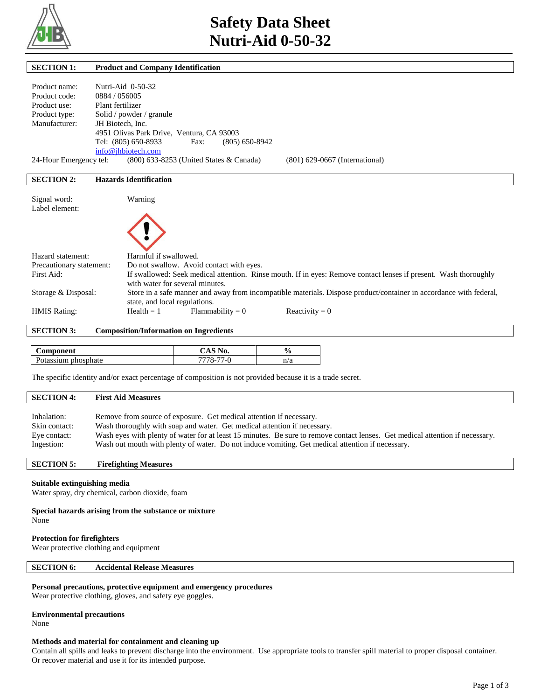

| <b>SECTION 1:</b>        |                     | <b>Product and Company Identification</b>                                                                          |
|--------------------------|---------------------|--------------------------------------------------------------------------------------------------------------------|
|                          |                     |                                                                                                                    |
| Product name:            | Nutri-Aid 0-50-32   |                                                                                                                    |
| Product code:            | 0884 / 056005       |                                                                                                                    |
| Product use:             | Plant fertilizer    |                                                                                                                    |
| Product type:            |                     | Solid / powder / granule                                                                                           |
| Manufacturer:            | JH Biotech, Inc.    |                                                                                                                    |
|                          |                     | 4951 Olivas Park Drive, Ventura, CA 93003                                                                          |
|                          | Tel: (805) 650-8933 | Fax:<br>$(805) 650 - 8942$                                                                                         |
|                          | info@ihbiotech.com  |                                                                                                                    |
| 24-Hour Emergency tel:   |                     | (800) 633-8253 (United States & Canada)<br>$(801)$ 629-0667 (International)                                        |
|                          |                     |                                                                                                                    |
| <b>SECTION 2:</b>        |                     | <b>Hazards Identification</b>                                                                                      |
|                          |                     |                                                                                                                    |
| Signal word:             |                     | Warning                                                                                                            |
| Label element:           |                     |                                                                                                                    |
|                          |                     |                                                                                                                    |
|                          |                     |                                                                                                                    |
|                          |                     |                                                                                                                    |
|                          |                     |                                                                                                                    |
| Hazard statement:        |                     | Harmful if swallowed.                                                                                              |
| Precautionary statement: |                     | Do not swallow. Avoid contact with eyes.                                                                           |
| First Aid:               |                     | If swallowed: Seek medical attention. Rinse mouth. If in eyes: Remove contact lenses if present. Wash thoroughly   |
|                          |                     | with water for several minutes.                                                                                    |
| Storage & Disposal:      |                     | Store in a safe manner and away from incompatible materials. Dispose product/container in accordance with federal, |
|                          |                     | state, and local regulations.                                                                                      |
| <b>HMIS Rating:</b>      |                     | $Flammability = 0$<br>Reactivity = $0$<br>$Health = 1$                                                             |
|                          |                     |                                                                                                                    |

# **SECTION 3: Composition/Information on Ingredients**

| <b>\omponent</b>    | `NO.           | $\frac{6}{10}$ |
|---------------------|----------------|----------------|
| Potassium phosphate | $\sim$ -<br>-- | n/a            |

The specific identity and/or exact percentage of composition is not provided because it is a trade secret.

# **SECTION 4: First Aid Measures**

| Inhalation:   | Remove from source of exposure. Get medical attention if necessary.                                                           |
|---------------|-------------------------------------------------------------------------------------------------------------------------------|
| Skin contact: | Wash thoroughly with soap and water. Get medical attention if necessary.                                                      |
| Eye contact:  | Wash eyes with plenty of water for at least 15 minutes. Be sure to remove contact lenses. Get medical attention if necessary. |
| Ingestion:    | Wash out mouth with plenty of water. Do not induce vomiting. Get medical attention if necessary.                              |

# **SECTION 5: Firefighting Measures**

#### **Suitable extinguishing media**

Water spray, dry chemical, carbon dioxide, foam

#### **Special hazards arising from the substance or mixture** None

#### **Protection for firefighters**

Wear protective clothing and equipment

# **SECTION 6: Accidental Release Measures**

#### **Personal precautions, protective equipment and emergency procedures**

Wear protective clothing, gloves, and safety eye goggles.

#### **Environmental precautions**

None

## **Methods and material for containment and cleaning up**

Contain all spills and leaks to prevent discharge into the environment. Use appropriate tools to transfer spill material to proper disposal container. Or recover material and use it for its intended purpose.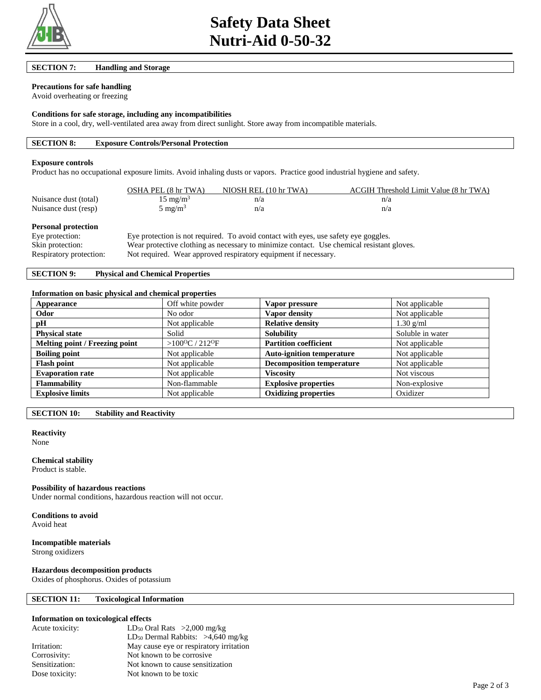

#### **SECTION 7: Handling and Storage**

# **Precautions for safe handling**

Avoid overheating or freezing

#### **Conditions for safe storage, including any incompatibilities**

Store in a cool, dry, well-ventilated area away from direct sunlight. Store away from incompatible materials.

## **SECTION 8: Exposure Controls/Personal Protection**

#### **Exposure controls**

Product has no occupational exposure limits. Avoid inhaling dusts or vapors. Practice good industrial hygiene and safety.

|                       | OSHA PEL (8 hr TWA) | NIOSH REL (10 hr TWA) | ACGIH Threshold Limit Value (8 hr TWA) |
|-----------------------|---------------------|-----------------------|----------------------------------------|
| Nuisance dust (total) | $15 \text{ mg/m}^3$ | n/a                   | n/a                                    |
| Nuisance dust (resp)  | $5 \text{ mg/m}^3$  | n/a                   | n/a                                    |

#### **Personal protection**

Eye protection: Eye protection is not required. To avoid contact with eyes, use safety eye goggles. Skin protection: Wear protective clothing as necessary to minimize contact. Use chemical resistant gloves. Respiratory protection: Not required. Wear approved respiratory equipment if necessary.

# **SECTION 9: Physical and Chemical Properties**

#### **Information on basic physical and chemical properties**

| Appearance                     | Off white powder                       | Vapor pressure                   | Not applicable   |
|--------------------------------|----------------------------------------|----------------------------------|------------------|
| Odor                           | No odor                                | Vapor density                    | Not applicable   |
| pH                             | Not applicable                         | <b>Relative density</b>          | $1.30$ g/ml      |
| <b>Physical state</b>          | Solid                                  | <b>Solubility</b>                | Soluble in water |
| Melting point / Freezing point | > $100^{\circ}$ C / 212 <sup>o</sup> F | <b>Partition coefficient</b>     | Not applicable   |
| <b>Boiling point</b>           | Not applicable                         | <b>Auto-ignition temperature</b> | Not applicable   |
| <b>Flash point</b>             | Not applicable                         | <b>Decomposition temperature</b> | Not applicable   |
| <b>Evaporation rate</b>        | Not applicable                         | <b>Viscosity</b>                 | Not viscous      |
| <b>Flammability</b>            | Non-flammable                          | <b>Explosive properties</b>      | Non-explosive    |
| <b>Explosive limits</b>        | Not applicable                         | <b>Oxidizing properties</b>      | Oxidizer         |

# **SECTION 10: Stability and Reactivity**

## **Reactivity**

None

## **Chemical stability**

Product is stable.

#### **Possibility of hazardous reactions**

Under normal conditions, hazardous reaction will not occur.

# **Conditions to avoid**

Avoid heat

# **Incompatible materials**

Strong oxidizers

### **Hazardous decomposition products**

Oxides of phosphorus. Oxides of potassium

## **SECTION 11: Toxicological Information**

## **Information on toxicological effects**

| Acute toxicity: | $LD_{50}$ Oral Rats >2,000 mg/kg                |
|-----------------|-------------------------------------------------|
|                 | LD <sub>50</sub> Dermal Rabbits: $>4,640$ mg/kg |
| Irritation:     | May cause eye or respiratory irritation         |
| Corrosivity:    | Not known to be corrosive.                      |
| Sensitization:  | Not known to cause sensitization                |
| Dose toxicity:  | Not known to be toxic                           |